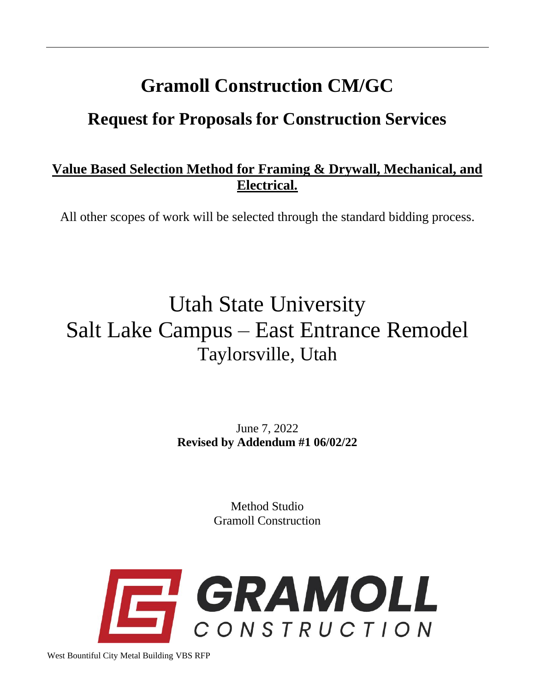# **Gramoll Construction CM/GC**

# **Request for Proposals for Construction Services**

### **Value Based Selection Method for Framing & Drywall, Mechanical, and Electrical.**

All other scopes of work will be selected through the standard bidding process.

# Utah State University Salt Lake Campus – East Entrance Remodel Taylorsville, Utah

June 7, 2022 **Revised by Addendum #1 06/02/22**

> Method Studio Gramoll Construction



West Bountiful City Metal Building VBS RFP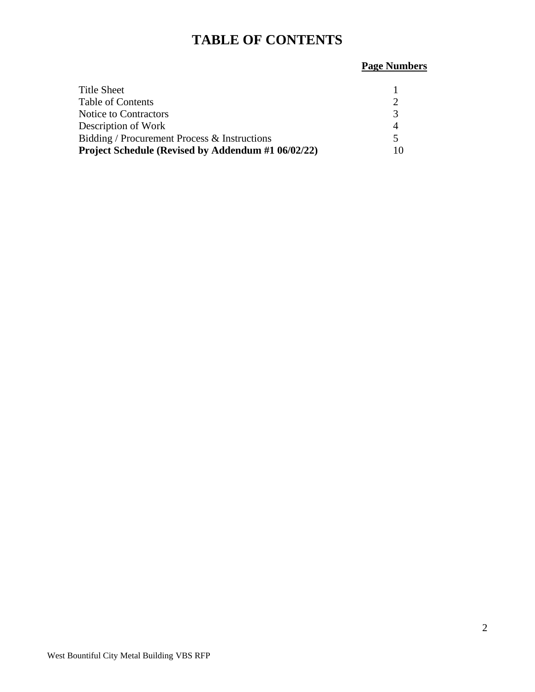# **TABLE OF CONTENTS**

# **Page Numbers**

| Title Sheet                                        |    |
|----------------------------------------------------|----|
| <b>Table of Contents</b>                           |    |
| Notice to Contractors                              |    |
| Description of Work                                |    |
| Bidding / Procurement Process & Instructions       |    |
| Project Schedule (Revised by Addendum #1 06/02/22) | 10 |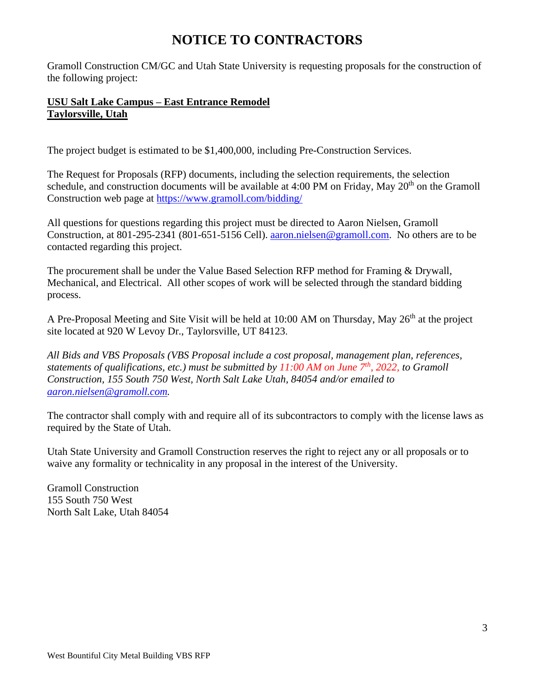# **NOTICE TO CONTRACTORS**

Gramoll Construction CM/GC and Utah State University is requesting proposals for the construction of the following project:

### **USU Salt Lake Campus – East Entrance Remodel Taylorsville, Utah**

The project budget is estimated to be \$1,400,000, including Pre-Construction Services.

The Request for Proposals (RFP) documents, including the selection requirements, the selection schedule, and construction documents will be available at  $4:00$  PM on Friday, May  $20<sup>th</sup>$  on the Gramoll Construction web page at<https://www.gramoll.com/bidding/>

All questions for questions regarding this project must be directed to Aaron Nielsen, Gramoll Construction, at 801-295-2341 (801-651-5156 Cell). [aaron.nielsen@gramoll.com.](mailto:aaron.nielsen@gramoll.com) No others are to be contacted regarding this project.

The procurement shall be under the Value Based Selection RFP method for Framing & Drywall, Mechanical, and Electrical. All other scopes of work will be selected through the standard bidding process.

A Pre-Proposal Meeting and Site Visit will be held at 10:00 AM on Thursday, May 26<sup>th</sup> at the project site located at 920 W Levoy Dr., Taylorsville, UT 84123.

*All Bids and VBS Proposals (VBS Proposal include a cost proposal, management plan, references, statements of qualifications, etc.) must be submitted by 11:00 AM on June 7 th , 2022, to Gramoll Construction, 155 South 750 West, North Salt Lake Utah, 84054 and/or emailed to [aaron.nielsen@gramoll.com.](mailto:troy.north@gramoll.com)*

The contractor shall comply with and require all of its subcontractors to comply with the license laws as required by the State of Utah.

Utah State University and Gramoll Construction reserves the right to reject any or all proposals or to waive any formality or technicality in any proposal in the interest of the University.

Gramoll Construction 155 South 750 West North Salt Lake, Utah 84054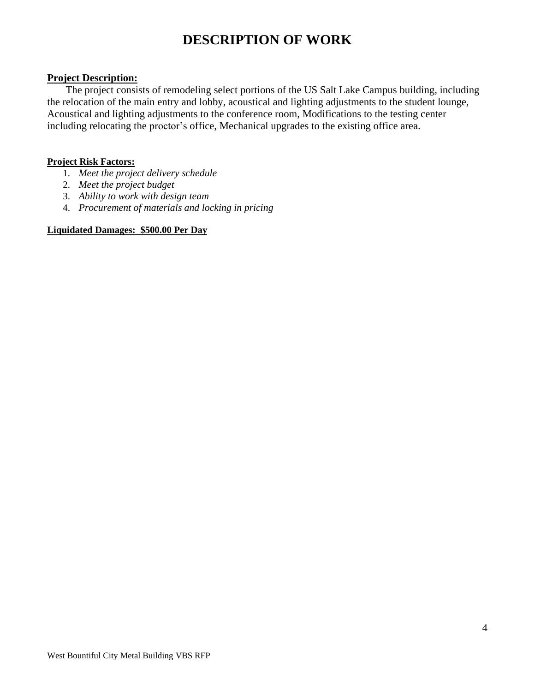# **DESCRIPTION OF WORK**

#### **Project Description:**

The project consists of remodeling select portions of the US Salt Lake Campus building, including the relocation of the main entry and lobby, acoustical and lighting adjustments to the student lounge, Acoustical and lighting adjustments to the conference room, Modifications to the testing center including relocating the proctor's office, Mechanical upgrades to the existing office area.

#### **Project Risk Factors:**

- 1. *Meet the project delivery schedule*
- 2. *Meet the project budget*
- 3. *Ability to work with design team*
- 4. *Procurement of materials and locking in pricing*

#### **Liquidated Damages: \$500.00 Per Day**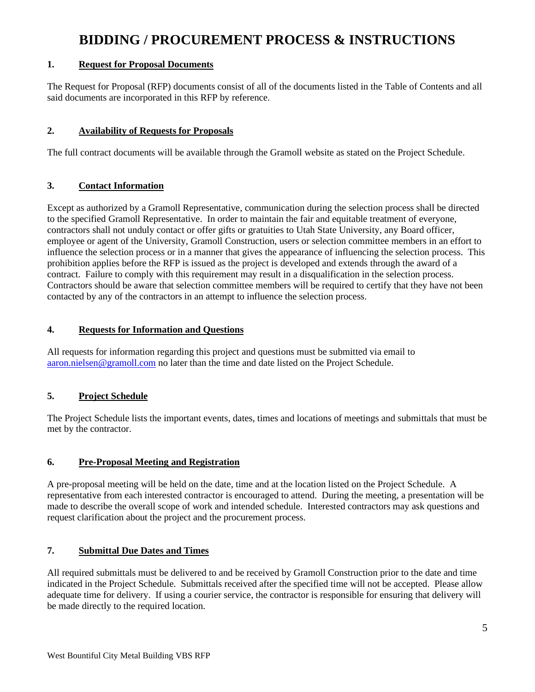# **BIDDING / PROCUREMENT PROCESS & INSTRUCTIONS**

#### **1. Request for Proposal Documents**

The Request for Proposal (RFP) documents consist of all of the documents listed in the Table of Contents and all said documents are incorporated in this RFP by reference.

### **2. Availability of Requests for Proposals**

The full contract documents will be available through the Gramoll website as stated on the Project Schedule.

#### **3. Contact Information**

Except as authorized by a Gramoll Representative, communication during the selection process shall be directed to the specified Gramoll Representative. In order to maintain the fair and equitable treatment of everyone, contractors shall not unduly contact or offer gifts or gratuities to Utah State University, any Board officer, employee or agent of the University, Gramoll Construction, users or selection committee members in an effort to influence the selection process or in a manner that gives the appearance of influencing the selection process. This prohibition applies before the RFP is issued as the project is developed and extends through the award of a contract. Failure to comply with this requirement may result in a disqualification in the selection process. Contractors should be aware that selection committee members will be required to certify that they have not been contacted by any of the contractors in an attempt to influence the selection process.

### **4. Requests for Information and Questions**

All requests for information regarding this project and questions must be submitted via email to [aaron.nielsen@gramoll.com](mailto:troy.north@gramoll.com) no later than the time and date listed on the Project Schedule.

### **5. Project Schedule**

The Project Schedule lists the important events, dates, times and locations of meetings and submittals that must be met by the contractor.

#### **6. Pre-Proposal Meeting and Registration**

A pre-proposal meeting will be held on the date, time and at the location listed on the Project Schedule. A representative from each interested contractor is encouraged to attend. During the meeting, a presentation will be made to describe the overall scope of work and intended schedule. Interested contractors may ask questions and request clarification about the project and the procurement process.

### **7. Submittal Due Dates and Times**

All required submittals must be delivered to and be received by Gramoll Construction prior to the date and time indicated in the Project Schedule. Submittals received after the specified time will not be accepted. Please allow adequate time for delivery. If using a courier service, the contractor is responsible for ensuring that delivery will be made directly to the required location.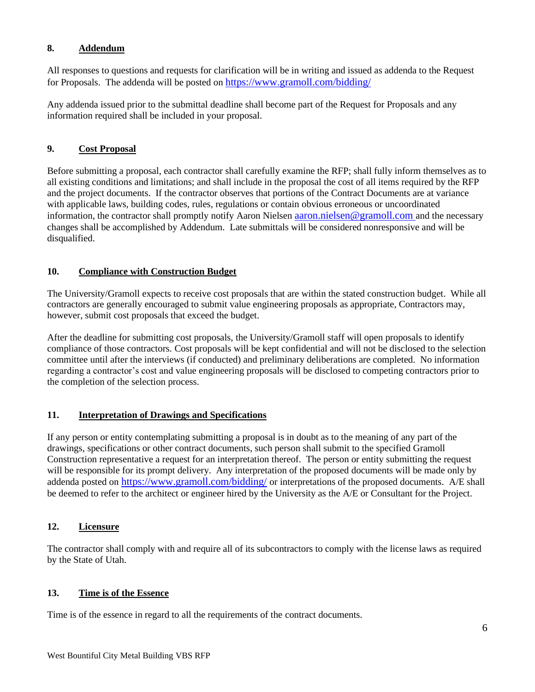#### **8. Addendum**

All responses to questions and requests for clarification will be in writing and issued as addenda to the Request for Proposals. The addenda will be posted on <https://www.gramoll.com/bidding/>

Any addenda issued prior to the submittal deadline shall become part of the Request for Proposals and any information required shall be included in your proposal.

#### **9. Cost Proposal**

Before submitting a proposal, each contractor shall carefully examine the RFP; shall fully inform themselves as to all existing conditions and limitations; and shall include in the proposal the cost of all items required by the RFP and the project documents. If the contractor observes that portions of the Contract Documents are at variance with applicable laws, building codes, rules, regulations or contain obvious erroneous or uncoordinated information, the contractor shall promptly notify Aaron Nielsen [aaron.nielsen@gramoll.com](mailto:troy.north@gramoll.com) and the necessary changes shall be accomplished by Addendum. Late submittals will be considered nonresponsive and will be disqualified.

#### **10. Compliance with Construction Budget**

The University/Gramoll expects to receive cost proposals that are within the stated construction budget. While all contractors are generally encouraged to submit value engineering proposals as appropriate, Contractors may, however, submit cost proposals that exceed the budget.

After the deadline for submitting cost proposals, the University/Gramoll staff will open proposals to identify compliance of those contractors. Cost proposals will be kept confidential and will not be disclosed to the selection committee until after the interviews (if conducted) and preliminary deliberations are completed. No information regarding a contractor's cost and value engineering proposals will be disclosed to competing contractors prior to the completion of the selection process.

#### **11. Interpretation of Drawings and Specifications**

If any person or entity contemplating submitting a proposal is in doubt as to the meaning of any part of the drawings, specifications or other contract documents, such person shall submit to the specified Gramoll Construction representative a request for an interpretation thereof. The person or entity submitting the request will be responsible for its prompt delivery. Any interpretation of the proposed documents will be made only by addenda posted on <https://www.gramoll.com/bidding/> or interpretations of the proposed documents. A/E shall be deemed to refer to the architect or engineer hired by the University as the A/E or Consultant for the Project.

#### **12. Licensure**

The contractor shall comply with and require all of its subcontractors to comply with the license laws as required by the State of Utah.

#### **13. Time is of the Essence**

Time is of the essence in regard to all the requirements of the contract documents.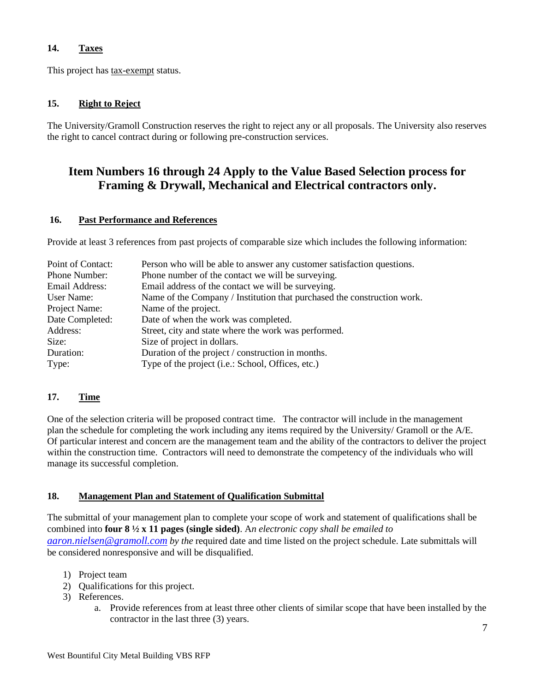### **14. Taxes**

This project has tax-exempt status.

#### **15. Right to Reject**

The University/Gramoll Construction reserves the right to reject any or all proposals. The University also reserves the right to cancel contract during or following pre-construction services.

### **Item Numbers 16 through 24 Apply to the Value Based Selection process for Framing & Drywall, Mechanical and Electrical contractors only.**

#### **16. Past Performance and References**

Provide at least 3 references from past projects of comparable size which includes the following information:

| Point of Contact: | Person who will be able to answer any customer satisfaction questions.  |
|-------------------|-------------------------------------------------------------------------|
| Phone Number:     | Phone number of the contact we will be surveying.                       |
| Email Address:    | Email address of the contact we will be surveying.                      |
| User Name:        | Name of the Company / Institution that purchased the construction work. |
| Project Name:     | Name of the project.                                                    |
| Date Completed:   | Date of when the work was completed.                                    |
| Address:          | Street, city and state where the work was performed.                    |
| Size:             | Size of project in dollars.                                             |
| Duration:         | Duration of the project / construction in months.                       |
| Type:             | Type of the project (i.e.: School, Offices, etc.)                       |

#### **17. Time**

One of the selection criteria will be proposed contract time. The contractor will include in the management plan the schedule for completing the work including any items required by the University/ Gramoll or the A/E. Of particular interest and concern are the management team and the ability of the contractors to deliver the project within the construction time. Contractors will need to demonstrate the competency of the individuals who will manage its successful completion.

#### **18. Management Plan and Statement of Qualification Submittal**

The submittal of your management plan to complete your scope of work and statement of qualifications shall be combined into **four 8 ½ x 11 pages (single sided)**. A*n electronic copy shall be emailed to [aaron.nielsen@gramoll.com](mailto:troy.north@gramoll.com) by the* required date and time listed on the project schedule. Late submittals will be considered nonresponsive and will be disqualified.

- 1) Project team
- 2) Qualifications for this project.
- 3) References.
	- a. Provide references from at least three other clients of similar scope that have been installed by the contractor in the last three (3) years.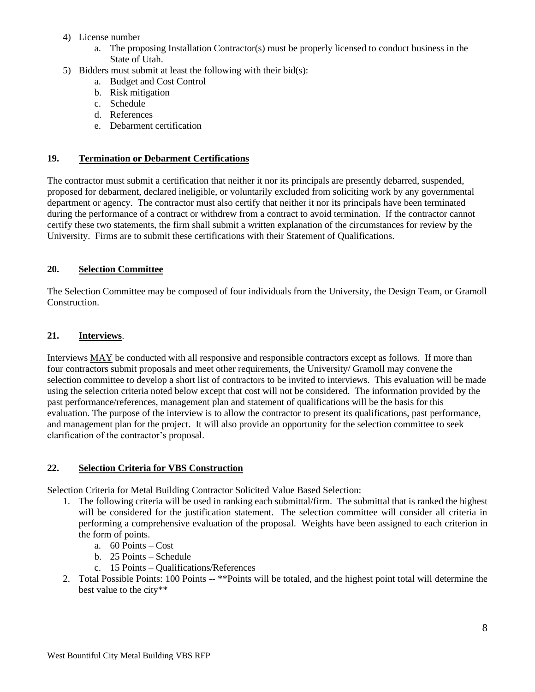- 4) License number
	- a. The proposing Installation Contractor(s) must be properly licensed to conduct business in the State of Utah.
- 5) Bidders must submit at least the following with their bid(s):
	- a. Budget and Cost Control
	- b. Risk mitigation
	- c. Schedule
	- d. References
	- e. Debarment certification

#### **19. Termination or Debarment Certifications**

The contractor must submit a certification that neither it nor its principals are presently debarred, suspended, proposed for debarment, declared ineligible, or voluntarily excluded from soliciting work by any governmental department or agency. The contractor must also certify that neither it nor its principals have been terminated during the performance of a contract or withdrew from a contract to avoid termination. If the contractor cannot certify these two statements, the firm shall submit a written explanation of the circumstances for review by the University. Firms are to submit these certifications with their Statement of Qualifications.

#### **20. Selection Committee**

The Selection Committee may be composed of four individuals from the University, the Design Team, or Gramoll Construction.

#### **21. Interviews**.

Interviews MAY be conducted with all responsive and responsible contractors except as follows. If more than four contractors submit proposals and meet other requirements, the University/ Gramoll may convene the selection committee to develop a short list of contractors to be invited to interviews. This evaluation will be made using the selection criteria noted below except that cost will not be considered. The information provided by the past performance/references, management plan and statement of qualifications will be the basis for this evaluation. The purpose of the interview is to allow the contractor to present its qualifications, past performance, and management plan for the project. It will also provide an opportunity for the selection committee to seek clarification of the contractor's proposal.

#### **22. Selection Criteria for VBS Construction**

Selection Criteria for Metal Building Contractor Solicited Value Based Selection:

- 1. The following criteria will be used in ranking each submittal/firm. The submittal that is ranked the highest will be considered for the justification statement. The selection committee will consider all criteria in performing a comprehensive evaluation of the proposal. Weights have been assigned to each criterion in the form of points.
	- a. 60 Points Cost
	- b. 25 Points Schedule
	- c. 15 Points Qualifications/References
- 2. Total Possible Points: 100 Points -- \*\*Points will be totaled, and the highest point total will determine the best value to the city\*\*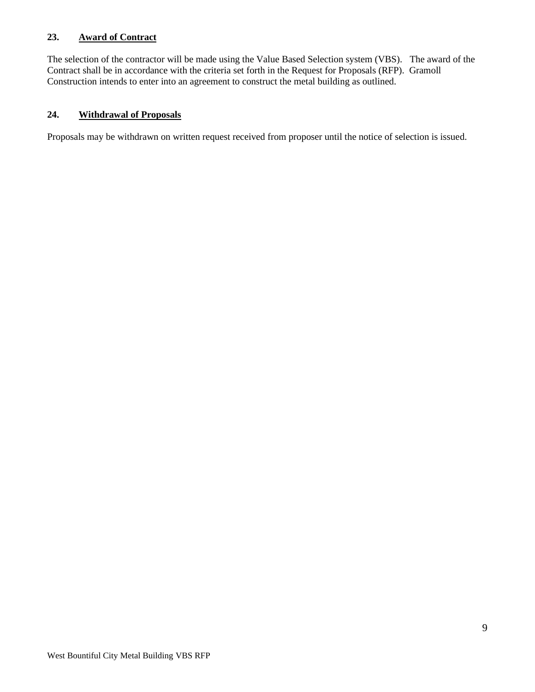#### **23. Award of Contract**

The selection of the contractor will be made using the Value Based Selection system (VBS). The award of the Contract shall be in accordance with the criteria set forth in the Request for Proposals (RFP). Gramoll Construction intends to enter into an agreement to construct the metal building as outlined.

#### **24. Withdrawal of Proposals**

Proposals may be withdrawn on written request received from proposer until the notice of selection is issued.